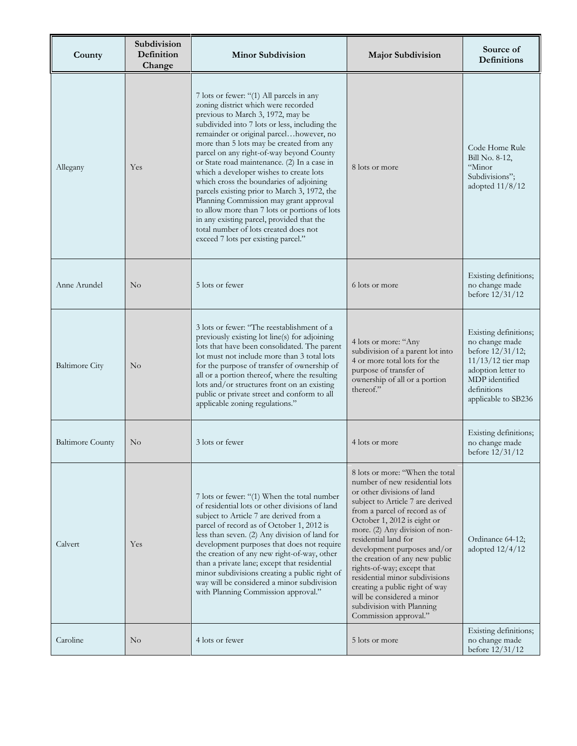| County                  | Subdivision<br>Definition<br>Change | <b>Minor Subdivision</b>                                                                                                                                                                                                                                                                                                                                                                                                                                                                                                                                                                                                                                                                                              | <b>Major Subdivision</b>                                                                                                                                                                                                                                                                                                                                                                                                                                                                                             | Source of<br>Definitions                                                                                                                                          |
|-------------------------|-------------------------------------|-----------------------------------------------------------------------------------------------------------------------------------------------------------------------------------------------------------------------------------------------------------------------------------------------------------------------------------------------------------------------------------------------------------------------------------------------------------------------------------------------------------------------------------------------------------------------------------------------------------------------------------------------------------------------------------------------------------------------|----------------------------------------------------------------------------------------------------------------------------------------------------------------------------------------------------------------------------------------------------------------------------------------------------------------------------------------------------------------------------------------------------------------------------------------------------------------------------------------------------------------------|-------------------------------------------------------------------------------------------------------------------------------------------------------------------|
| Allegany                | Yes                                 | 7 lots or fewer: "(1) All parcels in any<br>zoning district which were recorded<br>previous to March 3, 1972, may be<br>subdivided into 7 lots or less, including the<br>remainder or original parcelhowever, no<br>more than 5 lots may be created from any<br>parcel on any right-of-way beyond County<br>or State road maintenance. (2) In a case in<br>which a developer wishes to create lots<br>which cross the boundaries of adjoining<br>parcels existing prior to March 3, 1972, the<br>Planning Commission may grant approval<br>to allow more than 7 lots or portions of lots<br>in any existing parcel, provided that the<br>total number of lots created does not<br>exceed 7 lots per existing parcel." | 8 lots or more                                                                                                                                                                                                                                                                                                                                                                                                                                                                                                       | Code Home Rule<br>Bill No. 8-12,<br>"Minor<br>Subdivisions";<br>adopted 11/8/12                                                                                   |
| Anne Arundel            | $\rm No$                            | 5 lots or fewer                                                                                                                                                                                                                                                                                                                                                                                                                                                                                                                                                                                                                                                                                                       | 6 lots or more                                                                                                                                                                                                                                                                                                                                                                                                                                                                                                       | Existing definitions;<br>no change made<br>before $12/31/12$                                                                                                      |
| <b>Baltimore City</b>   | $\rm No$                            | 3 lots or fewer: "The reestablishment of a<br>previously existing lot line(s) for adjoining<br>lots that have been consolidated. The parent<br>lot must not include more than 3 total lots<br>for the purpose of transfer of ownership of<br>all or a portion thereof, where the resulting<br>lots and/or structures front on an existing<br>public or private street and conform to all<br>applicable zoning regulations."                                                                                                                                                                                                                                                                                           | 4 lots or more: "Any<br>subdivision of a parent lot into<br>4 or more total lots for the<br>purpose of transfer of<br>ownership of all or a portion<br>thereof."                                                                                                                                                                                                                                                                                                                                                     | Existing definitions;<br>no change made<br>before $12/31/12$ ;<br>11/13/12 tier map<br>adoption letter to<br>MDP identified<br>definitions<br>applicable to SB236 |
| <b>Baltimore County</b> | No                                  | 3 lots or fewer                                                                                                                                                                                                                                                                                                                                                                                                                                                                                                                                                                                                                                                                                                       | 4 lots or more                                                                                                                                                                                                                                                                                                                                                                                                                                                                                                       | Existing definitions;<br>no change made<br>before $12/31/12$                                                                                                      |
| Calvert                 | Yes                                 | 7 lots or fewer: "(1) When the total number<br>of residential lots or other divisions of land<br>subject to Article 7 are derived from a<br>parcel of record as of October 1, 2012 is<br>less than seven. (2) Any division of land for<br>development purposes that does not require<br>the creation of any new right-of-way, other<br>than a private lane; except that residential<br>minor subdivisions creating a public right of<br>way will be considered a minor subdivision<br>with Planning Commission approval."                                                                                                                                                                                             | 8 lots or more: "When the total<br>number of new residential lots<br>or other divisions of land<br>subject to Article 7 are derived<br>from a parcel of record as of<br>October 1, 2012 is eight or<br>more. (2) Any division of non-<br>residential land for<br>development purposes and/or<br>the creation of any new public<br>rights-of-way; except that<br>residential minor subdivisions<br>creating a public right of way<br>will be considered a minor<br>subdivision with Planning<br>Commission approval." | Ordinance 64-12;<br>adopted $12/4/12$                                                                                                                             |
| Caroline                | $\rm No$                            | 4 lots or fewer                                                                                                                                                                                                                                                                                                                                                                                                                                                                                                                                                                                                                                                                                                       | 5 lots or more                                                                                                                                                                                                                                                                                                                                                                                                                                                                                                       | Existing definitions;<br>no change made<br>before $12/31/12$                                                                                                      |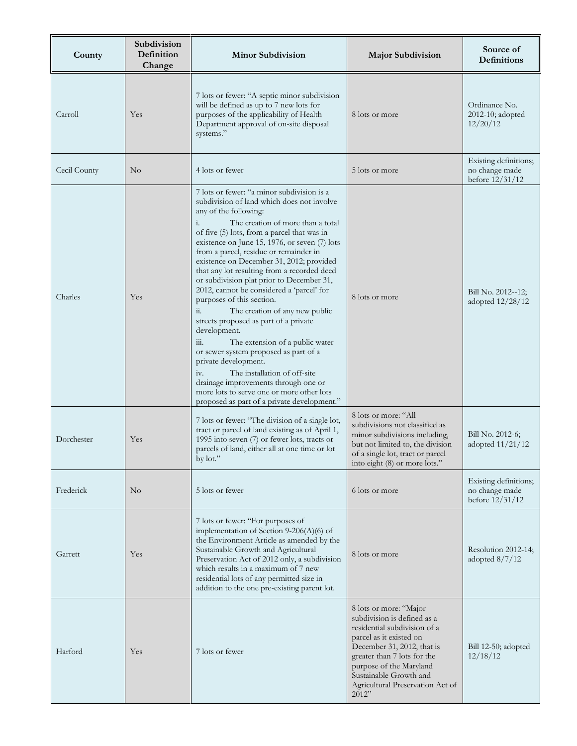| County       | Subdivision<br>Definition<br>Change | <b>Minor Subdivision</b>                                                                                                                                                                                                                                                                                                                                                                                                                                                                                                                                                                                                                                                                                                                                                                                                                                                                                            | <b>Major Subdivision</b>                                                                                                                                                                                                                                                        | Source of<br><b>Definitions</b>                              |
|--------------|-------------------------------------|---------------------------------------------------------------------------------------------------------------------------------------------------------------------------------------------------------------------------------------------------------------------------------------------------------------------------------------------------------------------------------------------------------------------------------------------------------------------------------------------------------------------------------------------------------------------------------------------------------------------------------------------------------------------------------------------------------------------------------------------------------------------------------------------------------------------------------------------------------------------------------------------------------------------|---------------------------------------------------------------------------------------------------------------------------------------------------------------------------------------------------------------------------------------------------------------------------------|--------------------------------------------------------------|
| Carroll      | Yes                                 | 7 lots or fewer: "A septic minor subdivision<br>will be defined as up to 7 new lots for<br>purposes of the applicability of Health<br>Department approval of on-site disposal<br>systems."                                                                                                                                                                                                                                                                                                                                                                                                                                                                                                                                                                                                                                                                                                                          | 8 lots or more                                                                                                                                                                                                                                                                  | Ordinance No.<br>2012-10; adopted<br>12/20/12                |
| Cecil County | $\rm No$                            | 4 lots or fewer                                                                                                                                                                                                                                                                                                                                                                                                                                                                                                                                                                                                                                                                                                                                                                                                                                                                                                     | 5 lots or more                                                                                                                                                                                                                                                                  | Existing definitions;<br>no change made<br>before $12/31/12$ |
| Charles      | Yes                                 | 7 lots or fewer: "a minor subdivision is a<br>subdivision of land which does not involve<br>any of the following:<br>The creation of more than a total<br>i.<br>of five (5) lots, from a parcel that was in<br>existence on June 15, 1976, or seven $(7)$ lots<br>from a parcel, residue or remainder in<br>existence on December 31, 2012; provided<br>that any lot resulting from a recorded deed<br>or subdivision plat prior to December 31,<br>2012, cannot be considered a 'parcel' for<br>purposes of this section.<br>ii.<br>The creation of any new public<br>streets proposed as part of a private<br>development.<br>iii.<br>The extension of a public water<br>or sewer system proposed as part of a<br>private development.<br>The installation of off-site<br>iv.<br>drainage improvements through one or<br>more lots to serve one or more other lots<br>proposed as part of a private development." | 8 lots or more                                                                                                                                                                                                                                                                  | Bill No. 2012--12;<br>adopted 12/28/12                       |
| Dorchester   | Yes                                 | 7 lots or fewer: "The division of a single lot,<br>tract or parcel of land existing as of April 1,<br>1995 into seven (7) or fewer lots, tracts or<br>parcels of land, either all at one time or lot<br>by lot."                                                                                                                                                                                                                                                                                                                                                                                                                                                                                                                                                                                                                                                                                                    | 8 lots or more: "All<br>subdivisions not classified as<br>minor subdivisions including,<br>but not limited to, the division<br>of a single lot, tract or parcel<br>into eight (8) or more lots."                                                                                | Bill No. 2012-6;<br>adopted $11/21/12$                       |
| Frederick    | $\rm No$                            | 5 lots or fewer                                                                                                                                                                                                                                                                                                                                                                                                                                                                                                                                                                                                                                                                                                                                                                                                                                                                                                     | 6 lots or more                                                                                                                                                                                                                                                                  | Existing definitions;<br>no change made<br>before $12/31/12$ |
| Garrett      | Yes                                 | 7 lots or fewer: "For purposes of<br>implementation of Section 9-206(A)(6) of<br>the Environment Article as amended by the<br>Sustainable Growth and Agricultural<br>Preservation Act of 2012 only, a subdivision<br>which results in a maximum of 7 new<br>residential lots of any permitted size in<br>addition to the one pre-existing parent lot.                                                                                                                                                                                                                                                                                                                                                                                                                                                                                                                                                               | 8 lots or more                                                                                                                                                                                                                                                                  | Resolution 2012-14;<br>adopted $8/7/12$                      |
| Harford      | Yes                                 | 7 lots or fewer                                                                                                                                                                                                                                                                                                                                                                                                                                                                                                                                                                                                                                                                                                                                                                                                                                                                                                     | 8 lots or more: "Major<br>subdivision is defined as a<br>residential subdivision of a<br>parcel as it existed on<br>December 31, 2012, that is<br>greater than 7 lots for the<br>purpose of the Maryland<br>Sustainable Growth and<br>Agricultural Preservation Act of<br>2012" | Bill 12-50; adopted<br>12/18/12                              |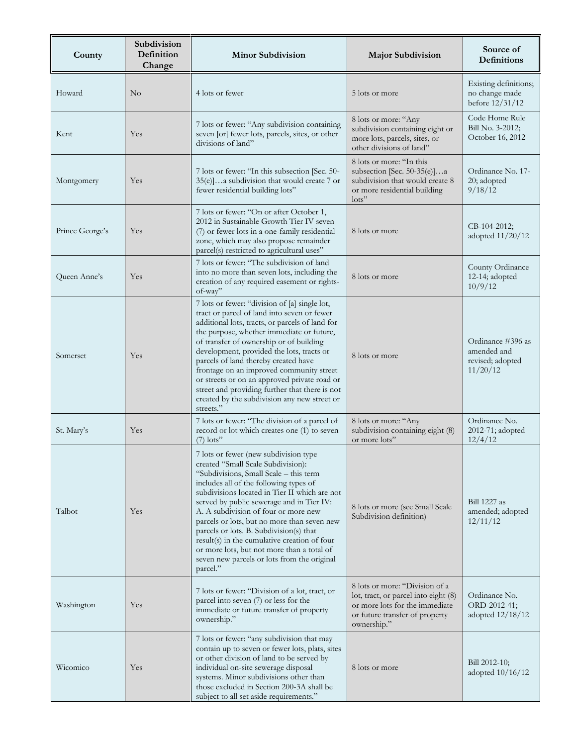| County          | Subdivision<br>Definition<br>Change | <b>Minor Subdivision</b>                                                                                                                                                                                                                                                                                                                                                                                                                                                                                                                                 | <b>Major Subdivision</b>                                                                                                                                  | Source of<br>Definitions                                         |
|-----------------|-------------------------------------|----------------------------------------------------------------------------------------------------------------------------------------------------------------------------------------------------------------------------------------------------------------------------------------------------------------------------------------------------------------------------------------------------------------------------------------------------------------------------------------------------------------------------------------------------------|-----------------------------------------------------------------------------------------------------------------------------------------------------------|------------------------------------------------------------------|
| Howard          | No                                  | 4 lots or fewer                                                                                                                                                                                                                                                                                                                                                                                                                                                                                                                                          | 5 lots or more                                                                                                                                            | Existing definitions;<br>no change made<br>before $12/31/12$     |
| Kent            | Yes                                 | 7 lots or fewer: "Any subdivision containing<br>seven [or] fewer lots, parcels, sites, or other<br>divisions of land"                                                                                                                                                                                                                                                                                                                                                                                                                                    | 8 lots or more: "Any<br>subdivision containing eight or<br>more lots, parcels, sites, or<br>other divisions of land"                                      | Code Home Rule<br>Bill No. 3-2012;<br>October 16, 2012           |
| Montgomery      | Yes                                 | 7 lots or fewer: "In this subsection [Sec. 50-<br>35(e)]a subdivision that would create 7 or<br>fewer residential building lots"                                                                                                                                                                                                                                                                                                                                                                                                                         | 8 lots or more: "In this<br>subsection [Sec. 50-35(e)]a<br>subdivision that would create 8<br>or more residential building<br>$\text{lots}$ "             | Ordinance No. 17-<br>20; adopted<br>9/18/12                      |
| Prince George's | Yes                                 | 7 lots or fewer: "On or after October 1,<br>2012 in Sustainable Growth Tier IV seven<br>(7) or fewer lots in a one-family residential<br>zone, which may also propose remainder<br>parcel(s) restricted to agricultural uses"                                                                                                                                                                                                                                                                                                                            | 8 lots or more                                                                                                                                            | $CB-104-2012;$<br>adopted 11/20/12                               |
| Queen Anne's    | Yes                                 | 7 lots or fewer: "The subdivision of land<br>into no more than seven lots, including the<br>creation of any required easement or rights-<br>of-way"                                                                                                                                                                                                                                                                                                                                                                                                      | 8 lots or more                                                                                                                                            | County Ordinance<br>12-14; adopted<br>10/9/12                    |
| Somerset        | Yes                                 | 7 lots or fewer: "division of [a] single lot,<br>tract or parcel of land into seven or fewer<br>additional lots, tracts, or parcels of land for<br>the purpose, whether immediate or future,<br>of transfer of ownership or of building<br>development, provided the lots, tracts or<br>parcels of land thereby created have<br>frontage on an improved community street<br>or streets or on an approved private road or<br>street and providing further that there is not<br>created by the subdivision any new street or<br>streets."                  | 8 lots or more                                                                                                                                            | Ordinance #396 as<br>amended and<br>revised; adopted<br>11/20/12 |
| St. Mary's      | Yes                                 | 7 lots or fewer: "The division of a parcel of<br>record or lot which creates one (1) to seven<br>$(7)$ lots"                                                                                                                                                                                                                                                                                                                                                                                                                                             | 8 lots or more: "Any<br>subdivision containing eight (8)<br>or more lots"                                                                                 | Ordinance No.<br>2012-71; adopted<br>12/4/12                     |
| Talbot          | Yes                                 | 7 lots or fewer (new subdivision type<br>created "Small Scale Subdivision):<br>"Subdivisions, Small Scale - this term<br>includes all of the following types of<br>subdivisions located in Tier II which are not<br>served by public sewerage and in Tier IV:<br>A. A subdivision of four or more new<br>parcels or lots, but no more than seven new<br>parcels or lots. B. Subdivision(s) that<br>result(s) in the cumulative creation of four<br>or more lots, but not more than a total of<br>seven new parcels or lots from the original<br>parcel." | 8 lots or more (see Small Scale)<br>Subdivision definition)                                                                                               | <b>Bill 1227</b> as<br>amended; adopted<br>12/11/12              |
| Washington      | Yes                                 | 7 lots or fewer: "Division of a lot, tract, or<br>parcel into seven (7) or less for the<br>immediate or future transfer of property<br>ownership."                                                                                                                                                                                                                                                                                                                                                                                                       | 8 lots or more: "Division of a<br>lot, tract, or parcel into eight (8)<br>or more lots for the immediate<br>or future transfer of property<br>ownership." | Ordinance No.<br>ORD-2012-41;<br>adopted 12/18/12                |
| Wicomico        | Yes                                 | 7 lots or fewer: "any subdivision that may<br>contain up to seven or fewer lots, plats, sites<br>or other division of land to be served by<br>individual on-site sewerage disposal<br>systems. Minor subdivisions other than<br>those excluded in Section 200-3A shall be<br>subject to all set aside requirements."                                                                                                                                                                                                                                     | 8 lots or more                                                                                                                                            | Bill 2012-10;<br>adopted 10/16/12                                |